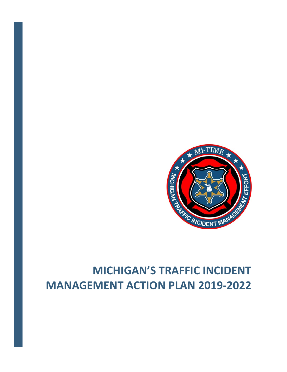

# **MICHIGAN'S TRAFFIC INCIDENT MANAGEMENT ACTION PLAN 2019‐2022**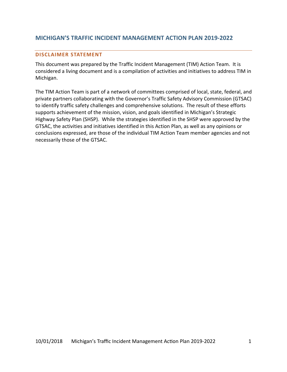# **MICHIGAN'S TRAFFIC INCIDENT MANAGEMENT ACTION PLAN 2019‐2022**

#### **DISCLAIMER STATEMENT**

This document was prepared by the Traffic Incident Management (TIM) Action Team. It is considered a living document and is a compilation of activities and initiatives to address TIM in Michigan.

The TIM Action Team is part of a network of committees comprised of local, state, federal, and private partners collaborating with the Governor's Traffic Safety Advisory Commission (GTSAC) to identify traffic safety challenges and comprehensive solutions. The result of these efforts supports achievement of the mission, vision, and goals identified in Michigan's Strategic Highway Safety Plan (SHSP).While the strategies identified in the SHSP were approved by the GTSAC, the activities and initiatives identified in this Action Plan, as well as any opinions or conclusions expressed, are those of the individual TIM Action Team member agencies and not necessarily those of the GTSAC.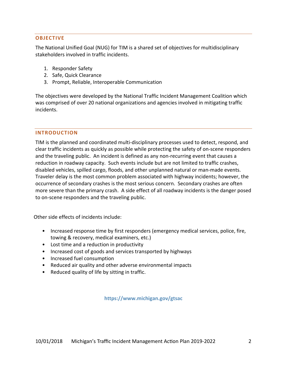#### **OBJECTIVE**

The National Unified Goal (NUG) for TIM is a shared set of objectives for multidisciplinary stakeholders involved in traffic incidents.

- 1. Responder Safety
- 2. Safe, Quick Clearance
- 3. Prompt, Reliable, Interoperable Communication

The objectives were developed by the National Traffic Incident Management Coalition which was comprised of over 20 national organizations and agencies involved in mitigating traffic incidents.

#### **INTRODUCTION**

TIM is the planned and coordinated multi‐disciplinary processes used to detect, respond, and clear traffic incidents as quickly as possible while protecting the safety of on‐scene responders and the traveling public. An incident is defined as any non-recurring event that causes a reduction in roadway capacity. Such events include but are not limited to traffic crashes, disabled vehicles, spilled cargo, floods, and other unplanned natural or man‐made events. Traveler delay is the most common problem associated with highway incidents; however, the occurrence of secondary crashes is the most serious concern. Secondary crashes are often more severe than the primary crash. A side effect of all roadway incidents is the danger posed to on‐scene responders and the traveling public.

Other side effects of incidents include:

- Increased response time by first responders (emergency medical services, police, fire, towing & recovery, medical examiners, etc.)
- Lost time and a reduction in productivity
- Increased cost of goods and services transported by highways
- Increased fuel consumption
- Reduced air quality and other adverse environmental impacts
- Reduced quality of life by sitting in traffic.

**https://www.michigan.gov/gtsac**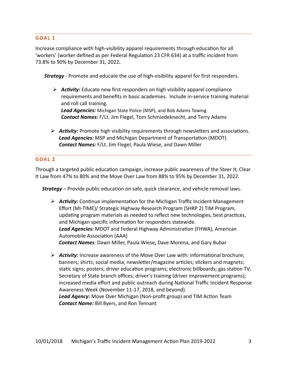#### **GOAL 1**

Increase compliance with high-visibility apparel requirements through education for all 'workers' (worker defined as per Federal Regulation 23 CFR 634) at a traffic incident from 73.8% to 90% by December 31, 2022**.** 

**Strategy** - Promote and educate the use of high-visibility apparel for first responders.

*►* Activity: Educate new first responders on high visibility apparel compliance requirements and benefits in basic academies. Include in‐service training material and roll call training.

*Lead Agencies:* Michigan State Police (MSP), and Bob Adams Towing *Contact Names:* F/Lt. Jim Flegel, Tom Schmiedeknecht, and Terry Adams

 $\triangleright$  **Activity:** Promote high visibility requirements through newsletters and associations. **Lead Agencies:** MSP and Michigan Department of Transportation (MDOT) *Contact Names:* F/Lt. Jim Flegel, Paula Wiese, and Dawn Miller

#### **GOAL 2**

Through a targeted public education campaign, increase public awareness of the Steer It, Clear It Law from 47% to 80% and the Move Over Law from 88% to 95% by December 31, 2022.

*Strategy* – Provide public education on safe, quick clearance, and vehicle removal laws.

- **Activity:** Continue implementation for the Michigan Traffic Incident Management Effort (MI‐TIME)/ Strategic Highway Research Program (SHRP 2) TIM Program, updating program materials as needed to reflect new technologies, best practices, and Michigan specific information for responders statewide. Lead Agencies: MDOT and Federal Highway Administration (FHWA), American Automobile Association (AAA) *Contact Names:* Dawn Miller, Paula Wiese**,** Dave Morena, and Gary Bubar
- *►* Activity: Increase awareness of the Move Over Law with: informational brochure; banners; shirts; social media; newsletter/magazine articles; stickers and magnets; static signs; posters; driver education programs; electronic billboards; gas station TV; Secretary of State branch offices; driver's training (driver improvement programs); increased media effort and public outreach during National Traffic Incident Response Awareness Week (November 11‐17, 2018, and beyond). Lead Agency: Move Over Michigan (Non-profit group) and TIM Action Team *Contact Name:* Bill Byers, and Ron Tennant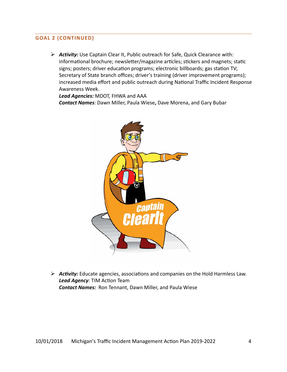## **GOAL 2 (CONTINUED)**

 *Activity:* Use Captain Clear It, Public outreach for Safe, Quick Clearance with: informational brochure; newsletter/magazine articles; stickers and magnets; static signs; posters; driver education programs; electronic billboards; gas station TV; Secretary of State branch offices; driver's training (driver improvement programs); increased media effort and public outreach during National Traffic Incident Response Awareness Week.

*Lead Agencies:* MDOT, FHWA and AAA *Contact Names:* Dawn Miller, Paula Wiese**,** Dave Morena, and Gary Bubar



**► Activity:** Educate agencies, associations and companies on the Hold Harmless Law. **Lead Agency**: TIM Action Team *Contact Names:* Ron Tennant, Dawn Miller, and Paula Wiese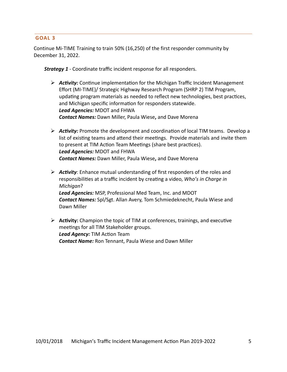#### **GOAL 3**

Continue Mi‐TIME Training to train 50% (16,250) of the first responder community by December 31, 2022.

*Strategy 1 ‐* Coordinate traffic incident response for all responders.

- *►* Activity: Continue implementation for the Michigan Traffic Incident Management Effort (MI‐TIME)/ Strategic Highway Research Program (SHRP 2) TIM Program, updating program materials as needed to reflect new technologies, best practices, and Michigan specific information for responders statewide. *Lead Agencies:* MDOT and FHWA *Contact Names:* Dawn Miller, Paula Wiese**,** and Dave Morena
- *►* Activity: Promote the development and coordination of local TIM teams. Develop a list of existing teams and attend their meetings. Provide materials and invite them to present at TIM Action Team Meetings (share best practices). *Lead Agencies:* MDOT and FHWA *Contact Names:* Dawn Miller, Paula Wiese**,** and Dave Morena
- *►* Activity: Enhance mutual understanding of first responders of the roles and responsibilities at a traffic incident by creating a video, *Who's in Charge in Michigan*? *Lead Agencies:* MSP, Professional Med Team, Inc. and MDOT *Contact Names:* Spl/Sgt. Allan Avery, Tom Schmiedeknecht, Paula Wiese and Dawn Miller
- $\triangleright$  **Activity:** Champion the topic of TIM at conferences, trainings, and executive meetings for all TIM Stakeholder groups. **Lead Agency: TIM Action Team** *Contact Name:* Ron Tennant, Paula Wiese and Dawn Miller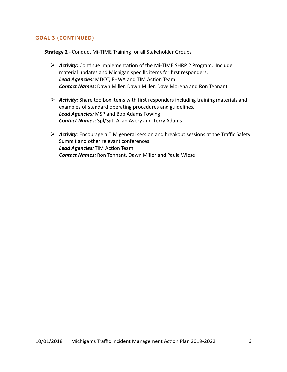### **GOAL 3 (CONTINUED)**

**Strategy 2** ‐ Conduct Mi‐TIME Training for all Stakeholder Groups

- *AcƟvity:* ConƟnue implementaƟon of the Mi‐TIME SHRP 2 Program. Include material updates and Michigan specific items for first responders. Lead Agencies: MDOT, FHWA and TIM Action Team *Contact Names:* Dawn Miller, Dawn Miller, Dave Morena and Ron Tennant
- *Activity:* Share toolbox items with first responders including training materials and examples of standard operating procedures and guidelines. *Lead Agencies:* MSP and Bob Adams Towing *Contact Names*: Spl/Sgt. Allan Avery and Terry Adams
- **EX** Activity: Encourage a TIM general session and breakout sessions at the Traffic Safety Summit and other relevant conferences. **Lead Agencies: TIM Action Team** *Contact Names:* Ron Tennant, Dawn Miller and Paula Wiese